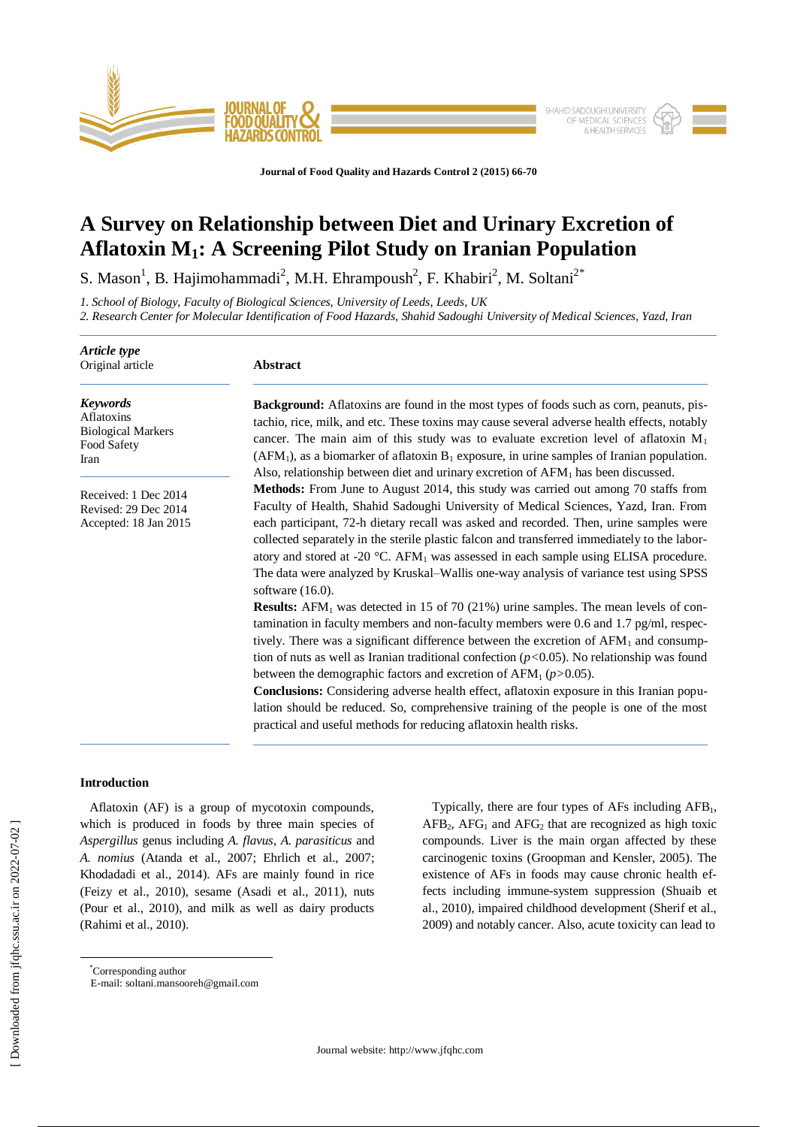

**Journal of Food Quality and Hazards Control 2 (2015) 66-70**

# **A Survey on Relationship between Diet and Urinary Excretion of Aflatoxin M1: A Screening Pilot Study on Iranian Population**

S. Mason<sup>1</sup>, B. Hajimohammadi<sup>2</sup>, M.H. Ehrampoush<sup>2</sup>, F. Khabiri<sup>2</sup>, M. Soltani<sup>2\*</sup>

*1. School of Biology, Faculty of Biological Sciences, University of Leeds, Leeds, UK* 

*2. Research Center for Molecular Identification of Food Hazards, Shahid Sadoughi University of Medical Sciences, Yazd, Iran*

| Article type<br>Original article                                                  | <b>Abstract</b>                                                                                                                                                                                                                                                                                                                                                                                                                                                                                                                                                                                                                                                                                                                       |  |  |  |  |
|-----------------------------------------------------------------------------------|---------------------------------------------------------------------------------------------------------------------------------------------------------------------------------------------------------------------------------------------------------------------------------------------------------------------------------------------------------------------------------------------------------------------------------------------------------------------------------------------------------------------------------------------------------------------------------------------------------------------------------------------------------------------------------------------------------------------------------------|--|--|--|--|
| <b>Keywords</b><br>Aflatoxins<br><b>Biological Markers</b><br>Food Safety<br>Iran | <b>Background:</b> Aflatoxins are found in the most types of foods such as corn, peanuts, pis-<br>tachio, rice, milk, and etc. These toxins may cause several adverse health effects, notably<br>cancer. The main aim of this study was to evaluate excretion level of aflatoxin $M_1$<br>$(AFM1)$ , as a biomarker of aflatoxin $B1$ exposure, in urine samples of Iranian population.<br>Also, relationship between diet and urinary excretion of $AFM1$ has been discussed.                                                                                                                                                                                                                                                        |  |  |  |  |
| Received: 1 Dec 2014<br>Revised: 29 Dec 2014<br>Accepted: 18 Jan 2015             | Methods: From June to August 2014, this study was carried out among 70 staffs from<br>Faculty of Health, Shahid Sadoughi University of Medical Sciences, Yazd, Iran. From<br>each participant, 72-h dietary recall was asked and recorded. Then, urine samples were<br>collected separately in the sterile plastic falcon and transferred immediately to the labor-<br>atory and stored at -20 °C. AFM <sub>1</sub> was assessed in each sample using ELISA procedure.<br>The data were analyzed by Kruskal-Wallis one-way analysis of variance test using SPSS<br>software $(16.0)$ .                                                                                                                                                |  |  |  |  |
|                                                                                   | <b>Results:</b> AFM <sub>1</sub> was detected in 15 of 70 (21%) urine samples. The mean levels of con-<br>tamination in faculty members and non-faculty members were 0.6 and 1.7 pg/ml, respec-<br>tively. There was a significant difference between the excretion of $AFM_1$ and consump-<br>tion of nuts as well as Iranian traditional confection ( $p<0.05$ ). No relationship was found<br>between the demographic factors and excretion of $AFM_1 (p>0.05)$ .<br><b>Conclusions:</b> Considering adverse health effect, aflatoxin exposure in this Iranian popu-<br>lation should be reduced. So, comprehensive training of the people is one of the most<br>practical and useful methods for reducing aflatoxin health risks. |  |  |  |  |

# **Introduction**

 Aflatoxin (AF) is a group of mycotoxin compounds, which is produced in foods by three main species of *Aspergillus* genus including *A. flavus*, *A. parasiticus* and *A. nomius* (Atanda et al., 2007; Ehrlich et al., 2007; Khodadadi et al., 2014). AFs are mainly found in rice (Feizy et al., 2010), sesame (Asadi et al., 2011), nuts (Pour et al., 2010), and milk as well as dairy products (Rahimi et al., 2010).

Typically, there are four types of AFs including  $AFB<sub>1</sub>$ ,  $AFB<sub>2</sub>$ ,  $AFG<sub>1</sub>$  and  $AFG<sub>2</sub>$  that are recognized as high toxic compounds. Liver is the main organ affected by these carcinogenic toxins (Groopman and Kensler, 2005). The existence of AFs in foods may cause chronic health effects including immune-system suppression (Shuaib et al., 2010), impaired childhood development (Sherif et al., 2009) and notably cancer. Also, acute toxicity can lead to

 $\overline{a}$ 

<sup>\*</sup>Corresponding author

E-mail: soltani.mansooreh@gmail.com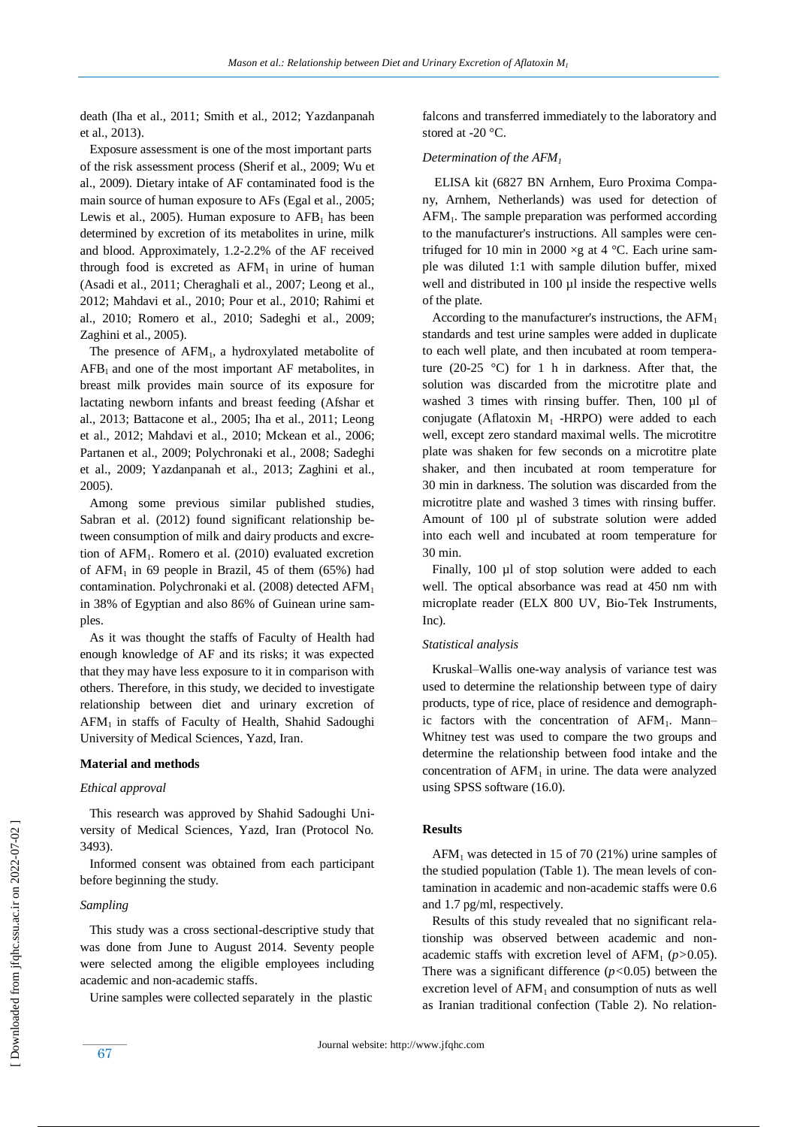death (Iha et al., 2011; Smith et al., 2012; Yazdanpanah et al., 2013).

 Exposure assessment is one of the most important parts of the risk assessment process (Sherif et al., 2009; Wu et al., 2009). Dietary intake of AF contaminated food is the main source of human exposure to AFs (Egal et al., 2005; Lewis et al., 2005). Human exposure to  $AFB<sub>1</sub>$  has been determined by excretion of its metabolites in urine, milk and blood. Approximately, 1.2-2.2% of the AF received through food is excreted as  $AFM<sub>1</sub>$  in urine of human (Asadi et al., 2011; Cheraghali et al., 2007; Leong et al., 2012; Mahdavi et al., 2010; Pour et al., 2010; Rahimi et al., 2010; Romero et al., 2010; Sadeghi et al., 2009; Zaghini et al., 2005).

The presence of  $AFM<sub>1</sub>$ , a hydroxylated metabolite of  $AFB<sub>1</sub>$  and one of the most important AF metabolites, in breast milk provides main source of its exposure for lactating newborn infants and breast feeding (Afshar et al., 2013; Battacone et al., 2005; Iha et al., 2011; Leong et al., 2012; Mahdavi et al., 2010; Mckean et al., 2006; Partanen et al., 2009; Polychronaki et al., 2008; Sadeghi et al., 2009; Yazdanpanah et al., 2013; Zaghini et al., 2005).

 Among some previous similar published studies, Sabran et al. (2012) found significant relationship between consumption of milk and dairy products and excretion of AFM<sub>1</sub>. Romero et al. (2010) evaluated excretion of AFM<sub>1</sub> in 69 people in Brazil, 45 of them  $(65%)$  had contamination. Polychronaki et al. (2008) detected AFM<sub>1</sub> in 38% of Egyptian and also 86% of Guinean urine samples.

 As it was thought the staffs of Faculty of Health had enough knowledge of AF and its risks; it was expected that they may have less exposure to it in comparison with others. Therefore, in this study, we decided to investigate relationship between diet and urinary excretion of AFM<sup>1</sup> in staffs of Faculty of Health, Shahid Sadoughi University of Medical Sciences, Yazd, Iran.

#### **Material and methods**

#### *Ethical approval*

 This research was approved by Shahid Sadoughi University of Medical Sciences, Yazd, Iran (Protocol No. 3493).

 Informed consent was obtained from each participant before beginning the study.

# *Sampling*

67

 This study was a cross sectional-descriptive study that was done from June to August 2014. Seventy people were selected among the eligible employees including academic and non-academic staffs.

Urine samples were collected separately in the plastic

falcons and transferred immediately to the laboratory and stored at -20 °C.

## *Determination of the AFM<sup>1</sup>*

 ELISA kit (6827 BN Arnhem, Euro Proxima Company, Arnhem, Netherlands) was used for detection of AFM1. The sample preparation was performed according to the manufacturer's instructions. All samples were centrifuged for 10 min in 2000  $\times$ g at 4 °C. Each urine sample was diluted 1:1 with sample dilution buffer, mixed well and distributed in 100 µl inside the respective wells of the plate.

According to the manufacturer's instructions, the  $AFM<sub>1</sub>$ standards and test urine samples were added in duplicate to each well plate, and then incubated at room temperature (20-25  $\degree$ C) for 1 h in darkness. After that, the solution was discarded from the microtitre plate and washed 3 times with rinsing buffer. Then, 100 µl of conjugate (Aflatoxin  $M_1$  -HRPO) were added to each well, except zero standard maximal wells. The microtitre plate was shaken for few seconds on a microtitre plate shaker, and then incubated at room temperature for 30 min in darkness. The solution was discarded from the microtitre plate and washed 3 times with rinsing buffer. Amount of 100 µl of substrate solution were added into each well and incubated at room temperature for 30 min.

Finally, 100 µl of stop solution were added to each well. The optical absorbance was read at 450 nm with microplate reader (ELX 800 UV, Bio-Tek Instruments, Inc).

#### *Statistical analysis*

 Kruskal–Wallis one-way analysis of variance test was used to determine the relationship between type of dairy products, type of rice, place of residence and demographic factors with the concentration of  $AFM<sub>1</sub>$ . Mann– Whitney test was used to compare the two groups and determine the relationship between food intake and the concentration of  $AFM<sub>1</sub>$  in urine. The data were analyzed using SPSS software (16.0).

# **Results**

 $AFM<sub>1</sub>$  was detected in 15 of 70 (21%) urine samples of the studied population (Table 1). The mean levels of contamination in academic and non-academic staffs were 0.6 and 1.7 pg/ml, respectively.

 Results of this study revealed that no significant relationship was observed between academic and nonacademic staffs with excretion level of  $AFM_1$  ( $p>0.05$ ). There was a significant difference (*p<*0.05) between the excretion level of  $AFM<sub>1</sub>$  and consumption of nuts as well as Iranian traditional confection (Table 2). No relation-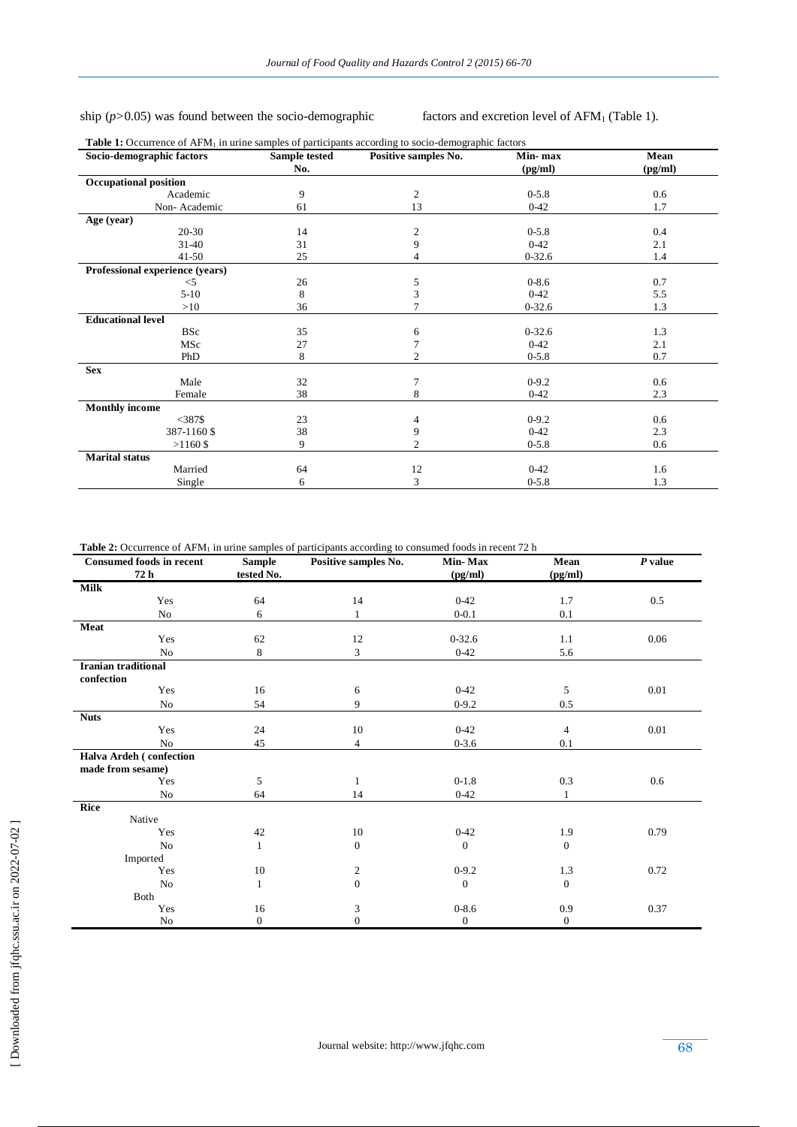# ship ( $p$ >0.05) was found between the socio-demographic factors and excretion level of AFM<sub>1</sub> (Table 1).

| Socio-demographic factors       | Sample tested | Positive samples No. | Min-max    | Mean    |
|---------------------------------|---------------|----------------------|------------|---------|
|                                 | No.           |                      | (pg/ml)    | (pg/ml) |
| <b>Occupational position</b>    |               |                      |            |         |
| Academic                        | 9             | 2                    | $0 - 5.8$  | 0.6     |
| Non-Academic                    | 61            | 13                   | $0 - 42$   | 1.7     |
| Age (year)                      |               |                      |            |         |
| $20 - 30$                       | 14            | 2                    | $0 - 5.8$  | 0.4     |
| $31 - 40$                       | 31            | 9                    | $0 - 42$   | 2.1     |
| $41 - 50$                       | 25            |                      | $0 - 32.6$ | 1.4     |
| Professional experience (years) |               |                      |            |         |
| $<$ 5                           | 26            | 5                    | $0 - 8.6$  | 0.7     |
| $5-10$                          | 8             | 3                    | $0 - 42$   | 5.5     |
| >10                             | 36            |                      | $0 - 32.6$ | 1.3     |
| <b>Educational level</b>        |               |                      |            |         |
| <b>BSc</b>                      | 35            | 6                    | $0 - 32.6$ | 1.3     |
| MSc                             | 27            |                      | $0-42$     | 2.1     |
| <b>PhD</b>                      | 8             | $\overline{c}$       | $0 - 5.8$  | 0.7     |
| <b>Sex</b>                      |               |                      |            |         |
| Male                            | 32            |                      | $0-9.2$    | 0.6     |
| Female                          | 38            | 8                    | $0 - 42$   | 2.3     |
| <b>Monthly income</b>           |               |                      |            |         |
| $<$ 387\$                       | 23            | 4                    | $0-9.2$    | 0.6     |
| 387-1160 \$                     | 38            | 9                    | $0 - 42$   | 2.3     |
| $>1160$ \$                      | 9             | 2                    | $0 - 5.8$  | 0.6     |
| <b>Marital</b> status           |               |                      |            |         |
| Married                         | 64            | 12                   | $0 - 42$   | 1.6     |
| Single                          | 6             | 3                    | $0 - 5.8$  | 1.3     |

Table 2: Occurrence of AFM<sub>1</sub> in urine samples of participants according to consumed foods in recent 72 h

| <b>Consumed foods in recent</b> | <b>Sample</b>    | Positive samples No. | Min-Max        | Mean                         | $P$ value |
|---------------------------------|------------------|----------------------|----------------|------------------------------|-----------|
| 72 h                            | tested No.       |                      | (pg/ml)        | $\left(\frac{pg}{ml}\right)$ |           |
| <b>Milk</b>                     |                  |                      |                |                              |           |
| Yes                             | 64               | 14                   | $0 - 42$       | 1.7                          | 0.5       |
| No                              | 6                | 1                    | $0 - 0.1$      | 0.1                          |           |
| Meat                            |                  |                      |                |                              |           |
| Yes                             | 62               | 12                   | $0 - 32.6$     | 1.1                          | 0.06      |
| N <sub>o</sub>                  | 8                | 3                    | $0 - 42$       | 5.6                          |           |
| <b>Iranian traditional</b>      |                  |                      |                |                              |           |
| confection                      |                  |                      |                |                              |           |
| Yes                             | 16               | 6                    | $0-42$         | 5                            | 0.01      |
| No                              | 54               | 9                    | $0 - 9.2$      | 0.5                          |           |
| <b>Nuts</b>                     |                  |                      |                |                              |           |
| Yes                             | 24               | 10                   | $0-42$         | $\overline{4}$               | 0.01      |
| No                              | 45               | $\overline{4}$       | $0 - 3.6$      | 0.1                          |           |
| Halva Ardeh (confection         |                  |                      |                |                              |           |
| made from sesame)               |                  |                      |                |                              |           |
| Yes                             | 5                | $\mathbf{1}$         | $0-1.8$        | 0.3                          | 0.6       |
| No                              | 64               | 14                   | $0 - 42$       | $\mathbf{1}$                 |           |
| Rice                            |                  |                      |                |                              |           |
| Native                          |                  |                      |                |                              |           |
| Yes                             | 42               | 10                   | $0 - 42$       | 1.9                          | 0.79      |
| N <sub>o</sub>                  | 1                | $\mathbf{0}$         | $\overline{0}$ | $\mathbf{0}$                 |           |
| Imported                        |                  |                      |                |                              |           |
| Yes                             | 10               | $\overline{c}$       | $0-9.2$        | 1.3                          | 0.72      |
| No                              | 1                | $\overline{0}$       | $\mathbf{0}$   | $\mathbf{0}$                 |           |
| Both                            |                  |                      |                |                              |           |
| Yes                             | 16               | 3                    | $0 - 8.6$      | 0.9                          | 0.37      |
| No                              | $\boldsymbol{0}$ | $\mathbf{0}$         | $\mathbf{0}$   | $\mathbf{0}$                 |           |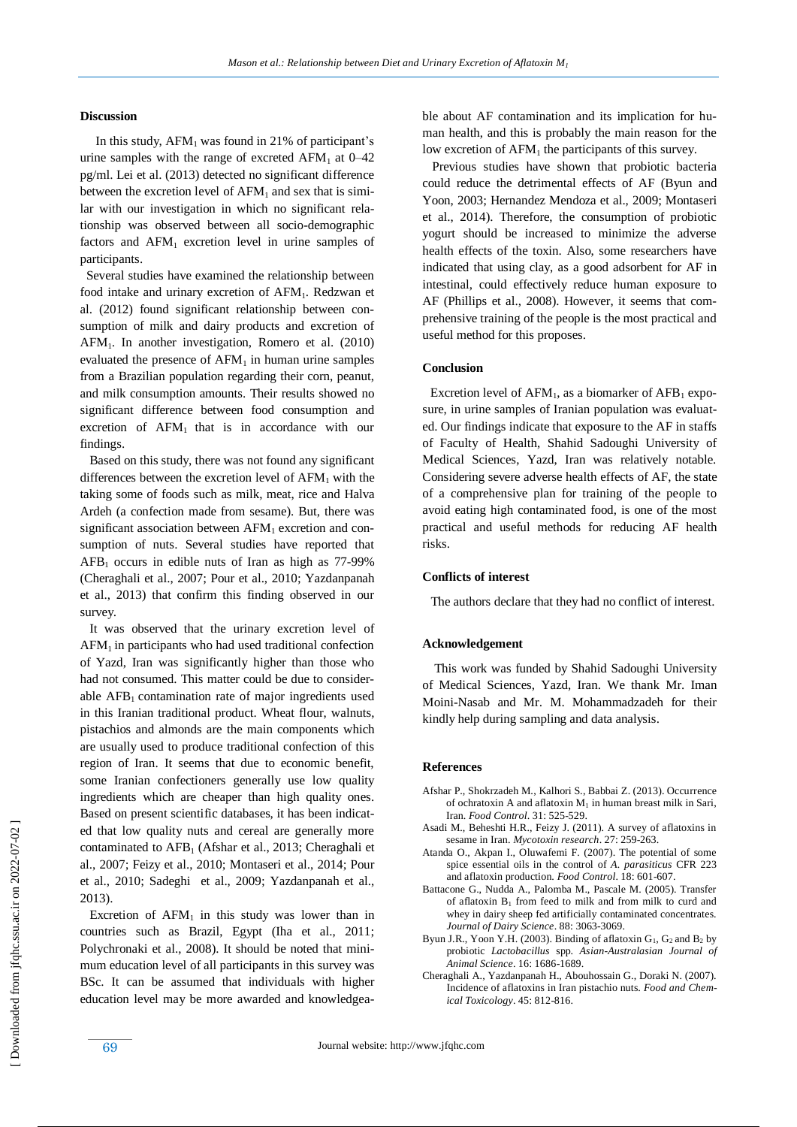## **Discussion**

In this study,  $AFM<sub>1</sub>$  was found in 21% of participant's urine samples with the range of excreted  $AFM_1$  at  $0-42$ pg/ml. Lei et al. (2013) detected no significant difference between the excretion level of  $AFM<sub>1</sub>$  and sex that is similar with our investigation in which no significant relationship was observed between all socio-demographic factors and  $AFM<sub>1</sub>$  excretion level in urine samples of participants.

 Several studies have examined the relationship between food intake and urinary excretion of AFM<sub>1</sub>. Redzwan et al. (2012) found significant relationship between consumption of milk and dairy products and excretion of AFM1. In another investigation, Romero et al. (2010) evaluated the presence of  $AFM<sub>1</sub>$  in human urine samples from a Brazilian population regarding their corn, peanut, and milk consumption amounts. Their results showed no significant difference between food consumption and excretion of  $AFM<sub>1</sub>$  that is in accordance with our findings.

 Based on this study, there was not found any significant differences between the excretion level of  $AFM<sub>1</sub>$  with the taking some of foods such as milk, meat, rice and Halva Ardeh (a confection made from sesame). But, there was significant association between  $AFM<sub>1</sub>$  excretion and consumption of nuts. Several studies have reported that  $AFB<sub>1</sub>$  occurs in edible nuts of Iran as high as 77-99% (Cheraghali et al., 2007; Pour et al., 2010; Yazdanpanah et al., 2013) that confirm this finding observed in our survey.

 It was observed that the urinary excretion level of  $AFM<sub>1</sub>$  in participants who had used traditional confection of Yazd, Iran was significantly higher than those who had not consumed. This matter could be due to considerable  $AFB<sub>1</sub>$  contamination rate of major ingredients used in this Iranian traditional product. Wheat flour, walnuts, pistachios and almonds are the main components which are usually used to produce traditional confection of this region of Iran. It seems that due to economic benefit, some Iranian confectioners generally use low quality ingredients which are cheaper than high quality ones. Based on present scientific databases, it has been indicated that low quality nuts and cereal are generally more contaminated to AFB<sub>1</sub> (Afshar et al., 2013; Cheraghali et al., 2007; Feizy et al., 2010; Montaseri et al., 2014; Pour et al., 2010; Sadeghi et al., 2009; Yazdanpanah et al., 2013).

Excretion of  $AFM<sub>1</sub>$  in this study was lower than in countries such as Brazil, Egypt (Iha et al., 2011; Polychronaki et al., 2008). It should be noted that minimum education level of all participants in this survey was BSc. It can be assumed that individuals with higher education level may be more awarded and knowledgeable about AF contamination and its implication for human health, and this is probably the main reason for the low excretion of  $AFM<sub>1</sub>$  the participants of this survey.

 Previous studies have shown that probiotic bacteria could reduce the detrimental effects of AF (Byun and Yoon, 2003; Hernandez Mendoza et al., 2009; Montaseri et al., 2014). Therefore, the consumption of probiotic yogurt should be increased to minimize the adverse health effects of the toxin. Also, some researchers have indicated that using clay, as a good adsorbent for AF in intestinal, could effectively reduce human exposure to AF (Phillips et al., 2008). However, it seems that comprehensive training of the people is the most practical and useful method for this proposes.

## **Conclusion**

Excretion level of  $AFM<sub>1</sub>$ , as a biomarker of  $AFB<sub>1</sub>$  exposure, in urine samples of Iranian population was evaluated. Our findings indicate that exposure to the AF in staffs of Faculty of Health, Shahid Sadoughi University of Medical Sciences, Yazd, Iran was relatively notable. Considering severe adverse health effects of AF, the state of a comprehensive plan for training of the people to avoid eating high contaminated food, is one of the most practical and useful methods for reducing AF health risks.

#### **Conflicts of interest**

The authors declare that they had no conflict of interest.

#### **Acknowledgement**

 This work was funded by Shahid Sadoughi University of Medical Sciences, Yazd, Iran. We thank Mr. Iman Moini-Nasab and Mr. M. Mohammadzadeh for their kindly help during sampling and data analysis.

#### **References**

- Afshar P., Shokrzadeh M., Kalhori S., Babbai Z. (2013). Occurrence of ochratoxin A and aflatoxin  $M_1$  in human breast milk in Sari, Iran. *Food Control*. 31: 525-529.
- Asadi M., Beheshti H.R., Feizy J. (2011). A survey of aflatoxins in sesame in Iran. *Mycotoxin research*. 27: 259-263.
- Atanda O., Akpan I., Oluwafemi F. (2007). The potential of some spice essential oils in the control of *A. parasiticus* CFR 223 and aflatoxin production. *Food Control*. 18: 601-607.
- Battacone G., Nudda A., Palomba M., Pascale M. (2005). Transfer of aflatoxin  $B_1$  from feed to milk and from milk to curd and whey in dairy sheep fed artificially contaminated concentrates. *Journal of Dairy Science*. 88: 3063-3069.
- Byun J.R., Yoon Y.H. (2003). Binding of aflatoxin  $G_1$ ,  $G_2$  and  $B_2$  by probiotic *Lactobacillus* spp. *Asian-Australasian Journal of Animal Science*. 16: 1686-1689.
- Cheraghali A., Yazdanpanah H., Abouhossain G., Doraki N. (2007). Incidence of aflatoxins in Iran pistachio nuts. *Food and Chemical Toxicology*. 45: 812-816.